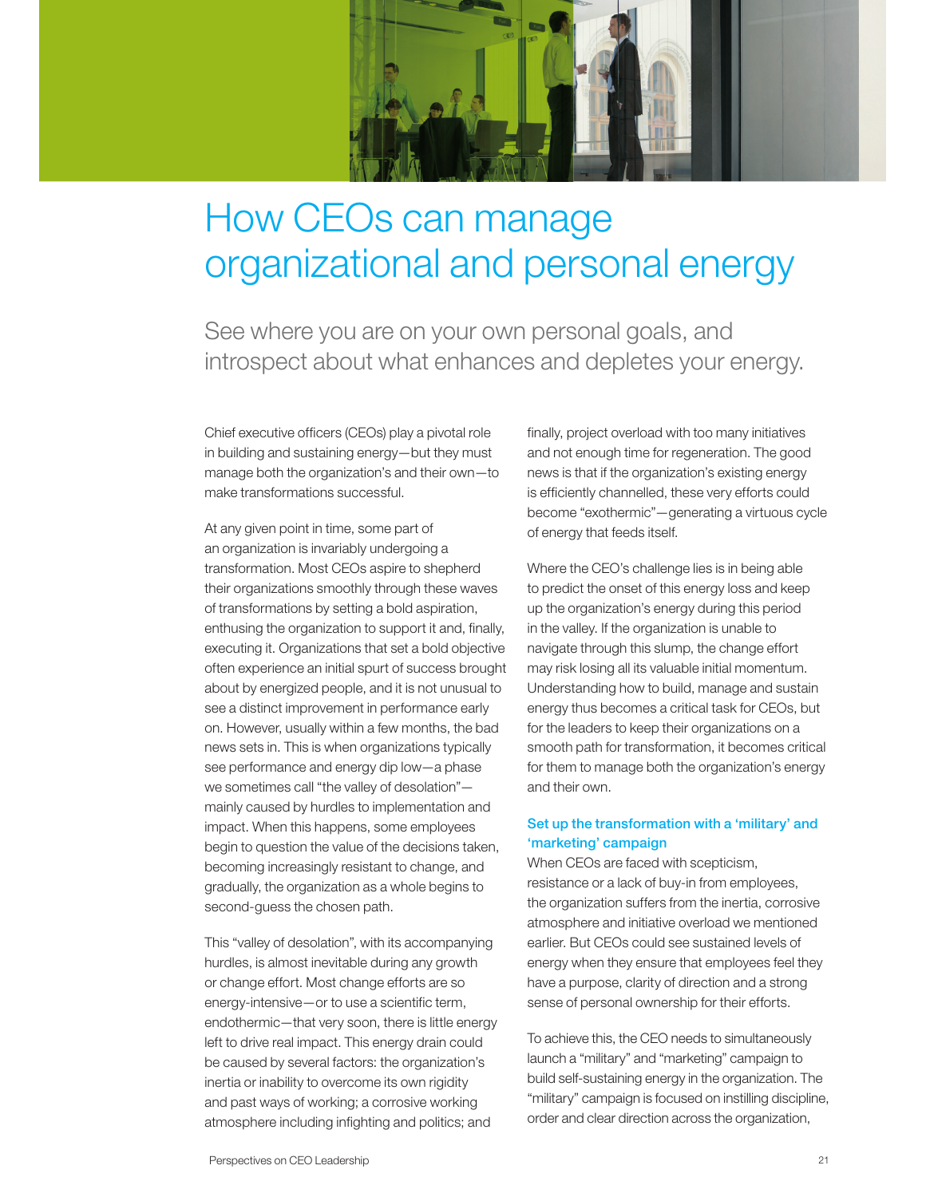

# How CEOs can manage organizational and personal energy

See where you are on your own personal goals, and introspect about what enhances and depletes your energy.

Chief executive officers (CEOs) play a pivotal role in building and sustaining energy—but they must manage both the organization's and their own—to make transformations successful.

At any given point in time, some part of an organization is invariably undergoing a transformation. Most CEOs aspire to shepherd their organizations smoothly through these waves of transformations by setting a bold aspiration, enthusing the organization to support it and, finally, executing it. Organizations that set a bold objective often experience an initial spurt of success brought about by energized people, and it is not unusual to see a distinct improvement in performance early on. However, usually within a few months, the bad news sets in. This is when organizations typically see performance and energy dip low—a phase we sometimes call "the valley of desolation" mainly caused by hurdles to implementation and impact. When this happens, some employees begin to question the value of the decisions taken, becoming increasingly resistant to change, and gradually, the organization as a whole begins to second-guess the chosen path.

This "valley of desolation", with its accompanying hurdles, is almost inevitable during any growth or change effort. Most change efforts are so energy-intensive—or to use a scientific term, endothermic—that very soon, there is little energy left to drive real impact. This energy drain could be caused by several factors: the organization's inertia or inability to overcome its own rigidity and past ways of working; a corrosive working atmosphere including infighting and politics; and

finally, project overload with too many initiatives and not enough time for regeneration. The good news is that if the organization's existing energy is efficiently channelled, these very efforts could become "exothermic"—generating a virtuous cycle of energy that feeds itself.

Where the CEO's challenge lies is in being able to predict the onset of this energy loss and keep up the organization's energy during this period in the valley. If the organization is unable to navigate through this slump, the change effort may risk losing all its valuable initial momentum. Understanding how to build, manage and sustain energy thus becomes a critical task for CEOs, but for the leaders to keep their organizations on a smooth path for transformation, it becomes critical for them to manage both the organization's energy and their own.

## Set up the transformation with a 'military' and 'marketing' campaign

When CEOs are faced with scepticism, resistance or a lack of buy-in from employees, the organization suffers from the inertia, corrosive atmosphere and initiative overload we mentioned earlier. But CEOs could see sustained levels of energy when they ensure that employees feel they have a purpose, clarity of direction and a strong sense of personal ownership for their efforts.

To achieve this, the CEO needs to simultaneously launch a "military" and "marketing" campaign to build self-sustaining energy in the organization. The "military" campaign is focused on instilling discipline, order and clear direction across the organization,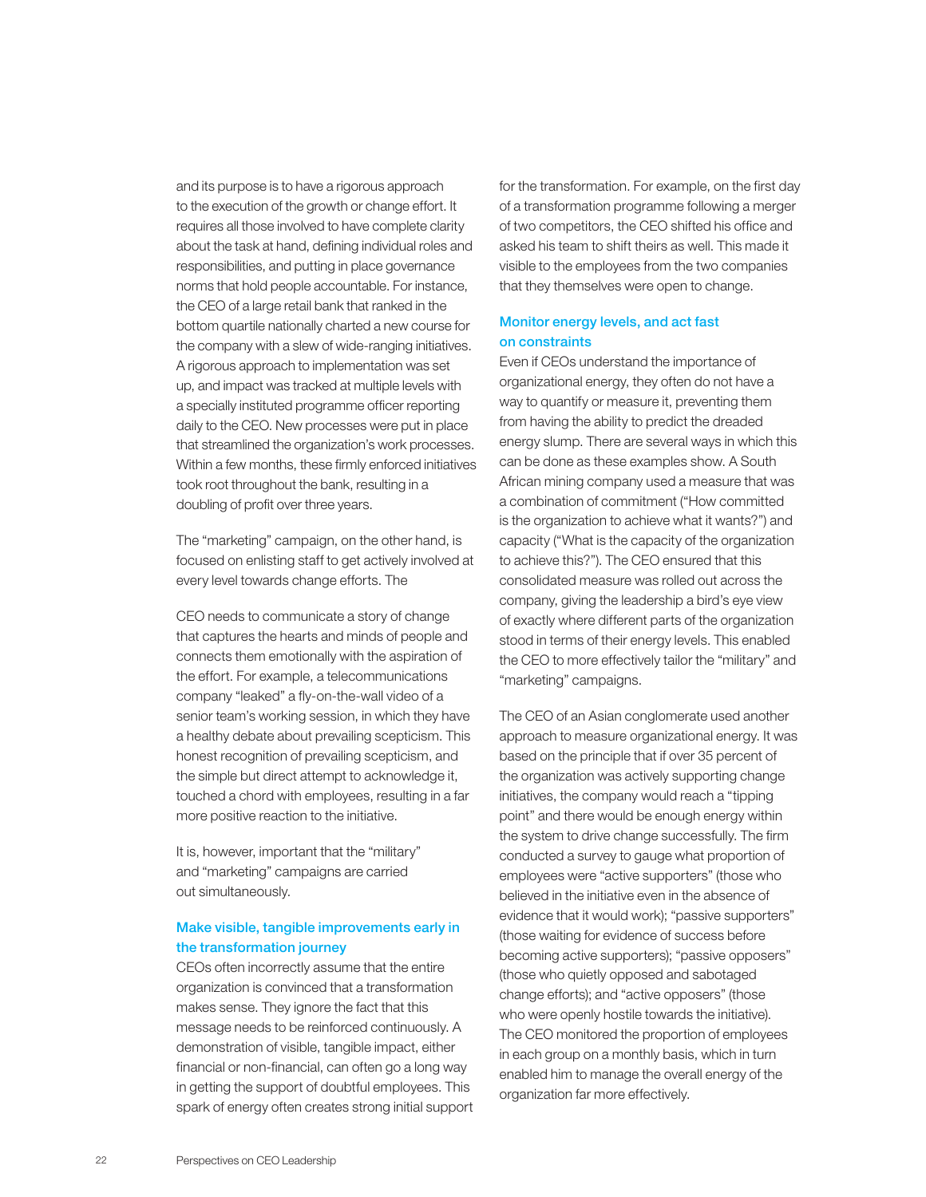and its purpose is to have a rigorous approach to the execution of the growth or change effort. It requires all those involved to have complete clarity about the task at hand, defining individual roles and responsibilities, and putting in place governance norms that hold people accountable. For instance, the CEO of a large retail bank that ranked in the bottom quartile nationally charted a new course for the company with a slew of wide-ranging initiatives. A rigorous approach to implementation was set up, and impact was tracked at multiple levels with a specially instituted programme officer reporting daily to the CEO. New processes were put in place that streamlined the organization's work processes. Within a few months, these firmly enforced initiatives took root throughout the bank, resulting in a doubling of profit over three years.

The "marketing" campaign, on the other hand, is focused on enlisting staff to get actively involved at every level towards change efforts. The

CEO needs to communicate a story of change that captures the hearts and minds of people and connects them emotionally with the aspiration of the effort. For example, a telecommunications company "leaked" a fly-on-the-wall video of a senior team's working session, in which they have a healthy debate about prevailing scepticism. This honest recognition of prevailing scepticism, and the simple but direct attempt to acknowledge it, touched a chord with employees, resulting in a far more positive reaction to the initiative.

It is, however, important that the "military" and "marketing" campaigns are carried out simultaneously.

#### Make visible, tangible improvements early in the transformation journey

CEOs often incorrectly assume that the entire organization is convinced that a transformation makes sense. They ignore the fact that this message needs to be reinforced continuously. A demonstration of visible, tangible impact, either financial or non-financial, can often go a long way in getting the support of doubtful employees. This spark of energy often creates strong initial support for the transformation. For example, on the first day of a transformation programme following a merger of two competitors, the CEO shifted his office and asked his team to shift theirs as well. This made it visible to the employees from the two companies that they themselves were open to change.

### Monitor energy levels, and act fast on constraints

Even if CEOs understand the importance of organizational energy, they often do not have a way to quantify or measure it, preventing them from having the ability to predict the dreaded energy slump. There are several ways in which this can be done as these examples show. A South African mining company used a measure that was a combination of commitment ("How committed is the organization to achieve what it wants?") and capacity ("What is the capacity of the organization to achieve this?"). The CEO ensured that this consolidated measure was rolled out across the company, giving the leadership a bird's eye view of exactly where different parts of the organization stood in terms of their energy levels. This enabled the CEO to more effectively tailor the "military" and "marketing" campaigns.

The CEO of an Asian conglomerate used another approach to measure organizational energy. It was based on the principle that if over 35 percent of the organization was actively supporting change initiatives, the company would reach a "tipping point" and there would be enough energy within the system to drive change successfully. The firm conducted a survey to gauge what proportion of employees were "active supporters" (those who believed in the initiative even in the absence of evidence that it would work); "passive supporters" (those waiting for evidence of success before becoming active supporters); "passive opposers" (those who quietly opposed and sabotaged change efforts); and "active opposers" (those who were openly hostile towards the initiative). The CEO monitored the proportion of employees in each group on a monthly basis, which in turn enabled him to manage the overall energy of the organization far more effectively.